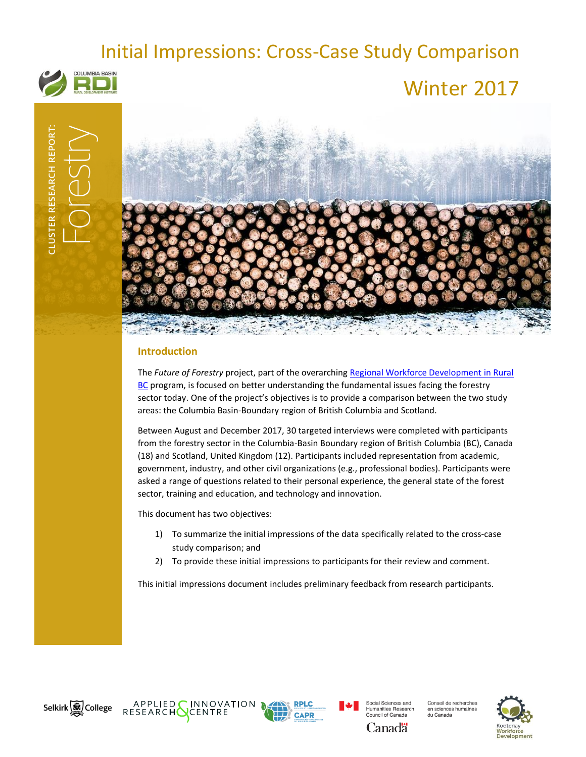# Initial Impressions: Cross-Case Study Comparison



# Winter 2017



# **Introduction**

The *Future of Forestry* project, part of the overarchin[g Regional Workforce Development in Rural](http://www.cbrdi.ca/workforce/)  [BC](http://www.cbrdi.ca/workforce/) program, is focused on better understanding the fundamental issues facing the forestry sector today. One of the project's objectives is to provide a comparison between the two study areas: the Columbia Basin-Boundary region of British Columbia and Scotland.

Between August and December 2017, 30 targeted interviews were completed with participants from the forestry sector in the Columbia-Basin Boundary region of British Columbia (BC), Canada (18) and Scotland, United Kingdom (12). Participants included representation from academic, government, industry, and other civil organizations (e.g., professional bodies). Participants were asked a range of questions related to their personal experience, the general state of the forest sector, training and education, and technology and innovation.

This document has two objectives:

- 1) To summarize the initial impressions of the data specifically related to the cross-case study comparison; and
- 2) To provide these initial impressions to participants for their review and comment.

This initial impressions document includes preliminary feedback from research participants.







Social Sciences and Humanities Research<br>Council of Canada Canadä

Conseil de recherches en sciences humaines<br>du Canada

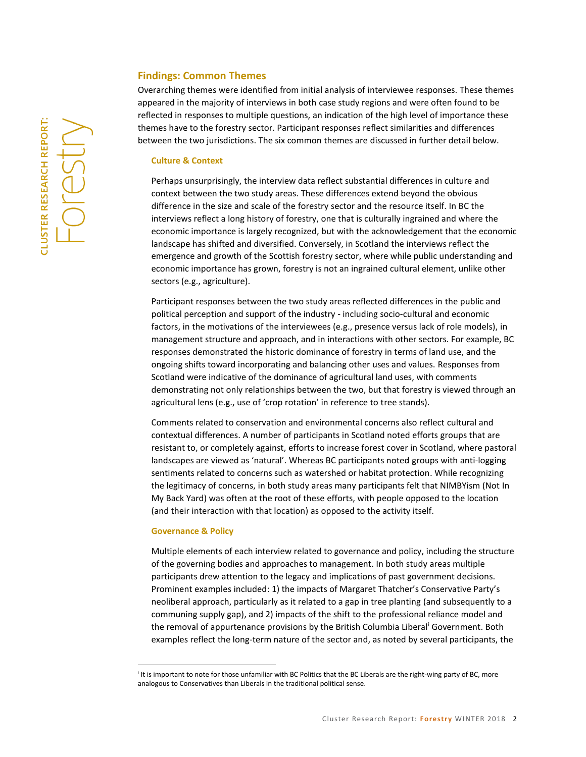# **Findings: Common Themes**

Overarching themes were identified from initial analysis of interviewee responses. These themes appeared in the majority of interviews in both case study regions and were often found to be reflected in responses to multiple questions, an indication of the high level of importance these themes have to the forestry sector. Participant responses reflect similarities and differences between the two jurisdictions. The six common themes are discussed in further detail below.

#### **Culture & Context**

Perhaps unsurprisingly, the interview data reflect substantial differences in culture and context between the two study areas. These differences extend beyond the obvious difference in the size and scale of the forestry sector and the resource itself. In BC the interviews reflect a long history of forestry, one that is culturally ingrained and where the economic importance is largely recognized, but with the acknowledgement that the economic landscape has shifted and diversified. Conversely, in Scotland the interviews reflect the emergence and growth of the Scottish forestry sector, where while public understanding and economic importance has grown, forestry is not an ingrained cultural element, unlike other sectors (e.g., agriculture).

Participant responses between the two study areas reflected differences in the public and political perception and support of the industry - including socio-cultural and economic factors, in the motivations of the interviewees (e.g., presence versus lack of role models), in management structure and approach, and in interactions with other sectors. For example, BC responses demonstrated the historic dominance of forestry in terms of land use, and the ongoing shifts toward incorporating and balancing other uses and values. Responses from Scotland were indicative of the dominance of agricultural land uses, with comments demonstrating not only relationships between the two, but that forestry is viewed through an agricultural lens (e.g., use of 'crop rotation' in reference to tree stands).

Comments related to conservation and environmental concerns also reflect cultural and contextual differences. A number of participants in Scotland noted efforts groups that are resistant to, or completely against, efforts to increase forest cover in Scotland, where pastoral landscapes are viewed as 'natural'. Whereas BC participants noted groups with anti-logging sentiments related to concerns such as watershed or habitat protection. While recognizing the legitimacy of concerns, in both study areas many participants felt that NIMBYism (Not In My Back Yard) was often at the root of these efforts, with people opposed to the location (and their interaction with that location) as opposed to the activity itself.

### **Governance & Policy**

 $\overline{a}$ 

Multiple elements of each interview related to governance and policy, including the structure of the governing bodies and approaches to management. In both study areas multiple participants drew attention to the legacy and implications of past government decisions. Prominent examples included: 1) the impacts of Margaret Thatcher's Conservative Party's neoliberal approach, particularly as it related to a gap in tree planting (and subsequently to a communing supply gap), and 2) impacts of the shift to the professional reliance model and the removal of appurtenance provisions by the British Columbia Liberal<sup>i</sup> Government. Both examples reflect the long-term nature of the sector and, as noted by several participants, the

i It is important to note for those unfamiliar with BC Politics that the BC Liberals are the right-wing party of BC, more analogous to Conservatives than Liberals in the traditional political sense.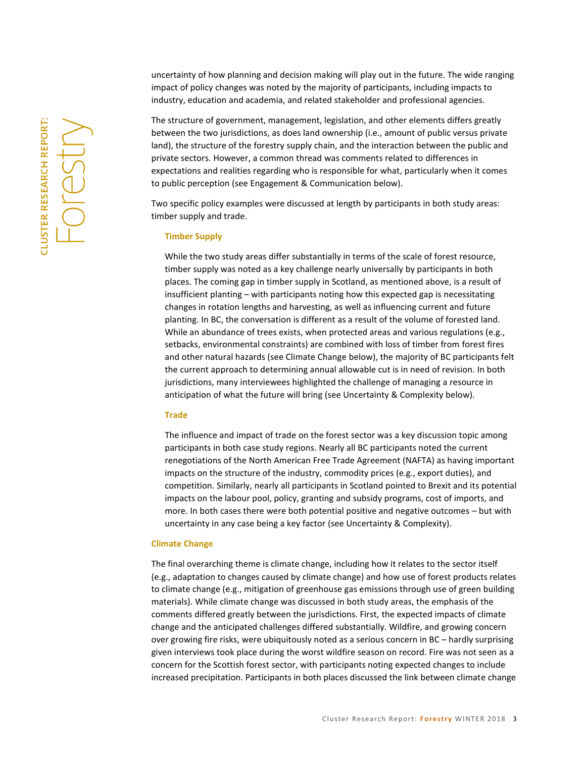uncertainty of how planning and decision making will play out in the future. The wide ranging impact of policy changes was noted by the majority of participants, including impacts to industry, education and academia, and related stakeholder and professional agencies.

The structure of government, management, legislation, and other elements differs greatly between the two jurisdictions, as does land ownership (i.e., amount of public versus private land), the structure of the forestry supply chain, and the interaction between the public and private sectors. However, a common thread was comments related to differences in expectations and realities regarding who is responsible for what, particularly when it comes to public perception (see Engagement & Communication below).

Two specific policy examples were discussed at length by participants in both study areas: timber supply and trade.

#### **Timber Supply**

While the two study areas differ substantially in terms of the scale of forest resource, timber supply was noted as a key challenge nearly universally by participants in both places. The coming gap in timber supply in Scotland, as mentioned above, is a result of insufficient planting – with participants noting how this expected gap is necessitating changes in rotation lengths and harvesting, as well as influencing current and future planting. In BC, the conversation is different as a result of the volume of forested land. While an abundance of trees exists, when protected areas and various regulations (e.g., setbacks, environmental constraints) are combined with loss of timber from forest fires and other natural hazards (see Climate Change below), the majority of BC participants felt the current approach to determining annual allowable cut is in need of revision. In both jurisdictions, many interviewees highlighted the challenge of managing a resource in anticipation of what the future will bring (see Uncertainty & Complexity below).

#### **Trade**

The influence and impact of trade on the forest sector was a key discussion topic among participants in both case study regions. Nearly all BC participants noted the current renegotiations of the North American Free Trade Agreement (NAFTA) as having important impacts on the structure of the industry, commodity prices (e.g., export duties), and competition. Similarly, nearly all participants in Scotland pointed to Brexit and its potential impacts on the labour pool, policy, granting and subsidy programs, cost of imports, and more. In both cases there were both potential positive and negative outcomes – but with uncertainty in any case being a key factor (see Uncertainty & Complexity).

#### **Climate Change**

The final overarching theme is climate change, including how it relates to the sector itself (e.g., adaptation to changes caused by climate change) and how use of forest products relates to climate change (e.g., mitigation of greenhouse gas emissions through use of green building materials). While climate change was discussed in both study areas, the emphasis of the comments differed greatly between the jurisdictions. First, the expected impacts of climate change and the anticipated challenges differed substantially. Wildfire, and growing concern over growing fire risks, were ubiquitously noted as a serious concern in BC – hardly surprising given interviews took place during the worst wildfire season on record. Fire was not seen as a concern for the Scottish forest sector, with participants noting expected changes to include increased precipitation. Participants in both places discussed the link between climate change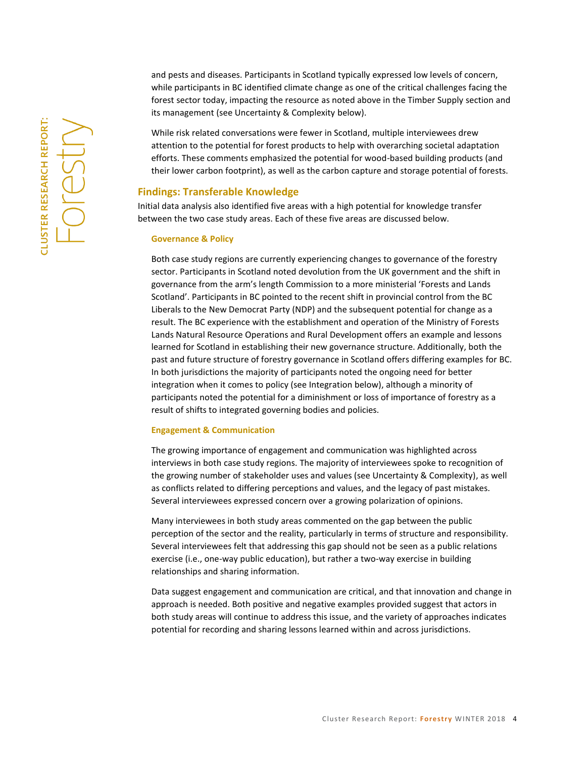While risk related conversations were fewer in Scotland, multiple interviewees drew attention to the potential for forest products to help with overarching societal adaptation efforts. These comments emphasized the potential for wood-based building products (and their lower carbon footprint), as well as the carbon capture and storage potential of forests.

# **Findings: Transferable Knowledge**

Initial data analysis also identified five areas with a high potential for knowledge transfer between the two case study areas. Each of these five areas are discussed below.

#### **Governance & Policy**

Both case study regions are currently experiencing changes to governance of the forestry sector. Participants in Scotland noted devolution from the UK government and the shift in governance from the arm's length Commission to a more ministerial 'Forests and Lands Scotland'. Participants in BC pointed to the recent shift in provincial control from the BC Liberals to the New Democrat Party (NDP) and the subsequent potential for change as a result. The BC experience with the establishment and operation of the Ministry of Forests Lands Natural Resource Operations and Rural Development offers an example and lessons learned for Scotland in establishing their new governance structure. Additionally, both the past and future structure of forestry governance in Scotland offers differing examples for BC. In both jurisdictions the majority of participants noted the ongoing need for better integration when it comes to policy (see Integration below), although a minority of participants noted the potential for a diminishment or loss of importance of forestry as a result of shifts to integrated governing bodies and policies.

#### **Engagement & Communication**

The growing importance of engagement and communication was highlighted across interviews in both case study regions. The majority of interviewees spoke to recognition of the growing number of stakeholder uses and values (see Uncertainty & Complexity), as well as conflicts related to differing perceptions and values, and the legacy of past mistakes. Several interviewees expressed concern over a growing polarization of opinions.

Many interviewees in both study areas commented on the gap between the public perception of the sector and the reality, particularly in terms of structure and responsibility. Several interviewees felt that addressing this gap should not be seen as a public relations exercise (i.e., one-way public education), but rather a two-way exercise in building relationships and sharing information.

Data suggest engagement and communication are critical, and that innovation and change in approach is needed. Both positive and negative examples provided suggest that actors in both study areas will continue to address this issue, and the variety of approaches indicates potential for recording and sharing lessons learned within and across jurisdictions.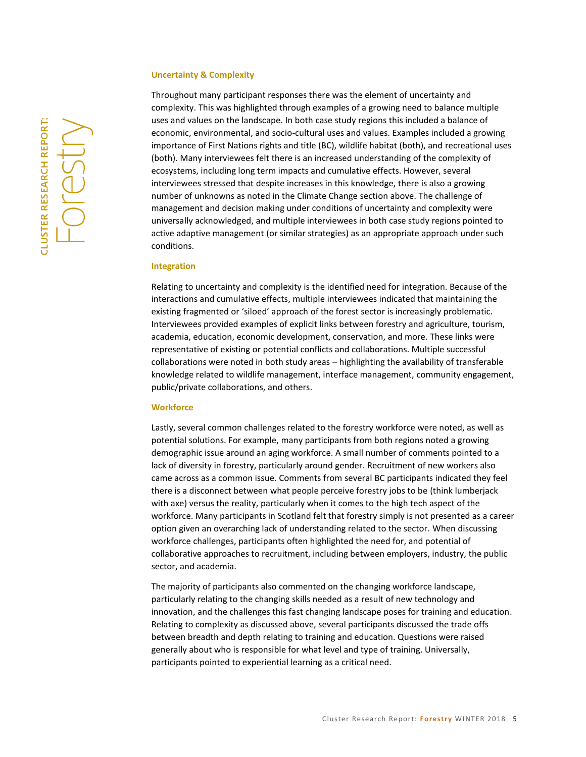#### **Uncertainty & Complexity**

Throughout many participant responses there was the element of uncertainty and complexity. This was highlighted through examples of a growing need to balance multiple uses and values on the landscape. In both case study regions this included a balance of economic, environmental, and socio-cultural uses and values. Examples included a growing importance of First Nations rights and title (BC), wildlife habitat (both), and recreational uses (both). Many interviewees felt there is an increased understanding of the complexity of ecosystems, including long term impacts and cumulative effects. However, several interviewees stressed that despite increases in this knowledge, there is also a growing number of unknowns as noted in the Climate Change section above. The challenge of management and decision making under conditions of uncertainty and complexity were universally acknowledged, and multiple interviewees in both case study regions pointed to active adaptive management (or similar strategies) as an appropriate approach under such conditions.

#### **Integration**

Relating to uncertainty and complexity is the identified need for integration. Because of the interactions and cumulative effects, multiple interviewees indicated that maintaining the existing fragmented or 'siloed' approach of the forest sector is increasingly problematic. Interviewees provided examples of explicit links between forestry and agriculture, tourism, academia, education, economic development, conservation, and more. These links were representative of existing or potential conflicts and collaborations. Multiple successful collaborations were noted in both study areas – highlighting the availability of transferable knowledge related to wildlife management, interface management, community engagement, public/private collaborations, and others.

#### **Workforce**

Lastly, several common challenges related to the forestry workforce were noted, as well as potential solutions. For example, many participants from both regions noted a growing demographic issue around an aging workforce. A small number of comments pointed to a lack of diversity in forestry, particularly around gender. Recruitment of new workers also came across as a common issue. Comments from several BC participants indicated they feel there is a disconnect between what people perceive forestry jobs to be (think lumberjack with axe) versus the reality, particularly when it comes to the high tech aspect of the workforce. Many participants in Scotland felt that forestry simply is not presented as a career option given an overarching lack of understanding related to the sector. When discussing workforce challenges, participants often highlighted the need for, and potential of collaborative approaches to recruitment, including between employers, industry, the public sector, and academia.

The majority of participants also commented on the changing workforce landscape, particularly relating to the changing skills needed as a result of new technology and innovation, and the challenges this fast changing landscape poses for training and education. Relating to complexity as discussed above, several participants discussed the trade offs between breadth and depth relating to training and education. Questions were raised generally about who is responsible for what level and type of training. Universally, participants pointed to experiential learning as a critical need.